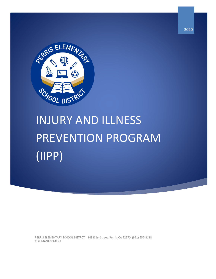

# INJURY AND ILLNESS PREVENTION PROGRAM (IIPP)

PERRIS ELEMENTARY SCHOOL DISTRCT | 143 E 1st Street, Perris, CA 92570 (951) 657-3118 RISK MANAGEMENT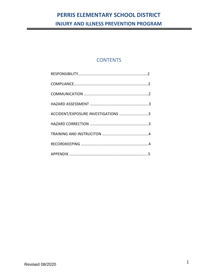#### **CONTENTS**

| ACCIDENT/EXPOSURE INVESTIGATIONS 3 |  |
|------------------------------------|--|
|                                    |  |
|                                    |  |
|                                    |  |
|                                    |  |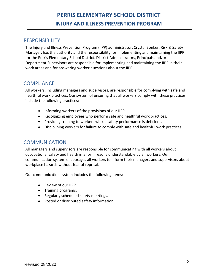#### RESPONSIBILITY

The Injury and Illness Prevention Program (IIPP) administrator, Crystal Bonker, Risk & Safety Manager, has the authority and the responsibility for implementing and maintaining the IIPP for the Perris Elementary School District. District Administrators, Principals and/or Department Supervisors are responsible for implementing and maintaining the IIPP in their work areas and for answering worker questions about the IIPP.

#### **COMPLIANCE**

All workers, including managers and supervisors, are responsible for complying with safe and healthful work practices. Our system of ensuring that all workers comply with these practices include the following practices:

- Informing workers of the provisions of our IIPP.
- Recognizing employees who perform safe and healthful work practices.
- Providing training to workers whose safety performance is deficient.
- Disciplining workers for failure to comply with safe and healthful work practices.

#### COMMUNICATION

All managers and supervisors are responsible for communicating with all workers about occupational safety and health in a form readily understandable by all workers. Our communication system encourages all workers to inform their managers and supervisors about workplace hazards without fear of reprisal.

Our communication system includes the following items:

- Review of our IIPP.
- Training programs.
- Regularly scheduled safety meetings.
- Posted or distributed safety information.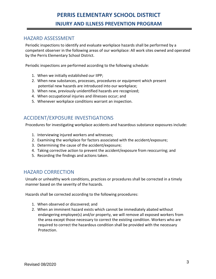**INJURY AND ILLNESS PREVENTION PROGRAM**

#### HAZARD ASSESSMENT

Periodic inspections to identify and evaluate workplace hazards shall be performed by a competent observer in the following areas of our workplace: All work sites owned and operated by the Perris Elementary School District.

Periodic inspections are performed according to the following schedule:

- 1. When we initially established our IIPP;
- 2. When new substances, processes, procedures or equipment which present potential new hazards are introduced into our workplace;
- 3. When new, previously unidentified hazards are recognized;
- 4. When occupational injuries and illnesses occur; and
- 5. Whenever workplace conditions warrant an inspection.

#### ACCIDENT/EXPOSURE INVESTIGATIONS

Procedures for investigating workplace accidents and hazardous substance exposures include:

- 1. Interviewing injured workers and witnesses;
- 2. Examining the workplace for factors associated with the accident/exposure;
- 3. Determining the cause of the accident/exposure;
- 4. Taking corrective action to prevent the accident/exposure from reoccurring; and
- 5. Recording the findings and actions taken.

#### HAZARD CORRECTION

Unsafe or unhealthy work conditions, practices or procedures shall be corrected in a timely manner based on the severity of the hazards.

Hazards shall be corrected according to the following procedures:

- 1. When observed or discovered; and
- 2. When an imminent hazard exists which cannot be immediately abated without endangering employee(s) and/or property, we will remove all exposed workers from the area except those necessary to correct the existing condition. Workers who are required to correct the hazardous condition shall be provided with the necessary Protection.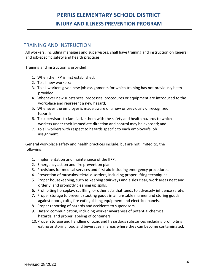**INJURY AND ILLNESS PREVENTION PROGRAM**

#### TRAINING AND INSTRUCTION

All workers, including managers and supervisors, shall have training and instruction on general and job-specific safety and health practices.

Training and instruction is provided:

- 1. When the IIPP is first established;
- 2. To all new workers;
- 3. To all workers given new job assignments for which training has not previously been provided;
- 4. Whenever new substances, processes, procedures or equipment are introduced to the workplace and represent a new hazard;
- 5. Whenever the employer is made aware of a new or previously unrecognized hazard;
- 6. To supervisors to familiarize them with the safety and health hazards to which workers under their immediate direction and control may be exposed; and
- 7. To all workers with respect to hazards specific to each employee's job assignment.

General workplace safety and health practices include, but are not limited to, the following:

- 1. Implementation and maintenance of the IIPP.
- 2. Emergency action and fire prevention plan.
- 3. Provisions for medical services and first aid including emergency procedures.
- 4. Prevention of musculoskeletal disorders, including proper lifting techniques.
- 5. Proper housekeeping, such as keeping stairways and aisles clear, work areas neat and orderly, and promptly cleaning up spills.
- 6. Prohibiting horseplay, scuffling, or other acts that tends to adversely influence safety.
- 7. Proper storage to prevent stacking goods in an unstable manner and storing goods against doors, exits, fire extinguishing equipment and electrical panels.
- 8. Proper reporting of hazards and accidents to supervisors.
- 9. Hazard communication, including worker awareness of potential chemical hazards, and proper labeling of containers.
- 10.Proper storage and handling of toxic and hazardous substances including prohibiting eating or storing food and beverages in areas where they can become contaminated.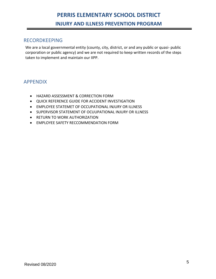**INJURY AND ILLNESS PREVENTION PROGRAM**

#### RECORDKEEPING

We are a local governmental entity (county, city, district, or and any public or quasi- public corporation or public agency) and we are not required to keep written records of the steps taken to implement and maintain our IIPP.

#### APPENDIX

- **HAZARD ASSESSMENT & CORRECTION FORM**
- QUICK REFERENCE GUIDE FOR ACCIDENT INVESTIGATION
- EMPLOYEE STATEMET OF OCCUPATIONAL INJURY OR ILLNESS
- **SUPERVISOR STATEMENT OF OCUUPATIONAL INJURY OR ILLNESS**
- **RETURN TO WORK AUTHORIZATION**
- EMPLOYEE SAFETY RECCOMMENDATION FORM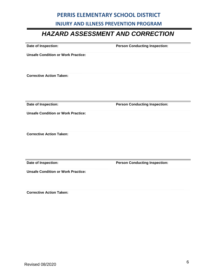**INJURY AND ILLNESS PREVENTION PROGRAM**

# *HAZARD ASSESSMENT AND CORRECTION*

| Date of Inspection:                       | <b>Person Conducting Inspection:</b> |
|-------------------------------------------|--------------------------------------|
| <b>Unsafe Condition or Work Practice:</b> |                                      |
| <b>Corrective Action Taken:</b>           |                                      |
|                                           |                                      |
|                                           |                                      |
|                                           |                                      |
| Date of Inspection:                       | <b>Person Conducting Inspection:</b> |
| <b>Unsafe Condition or Work Practice:</b> |                                      |
| <b>Corrective Action Taken:</b>           |                                      |
|                                           |                                      |
| Date of Inspection:                       | <b>Person Conducting Inspection:</b> |
| <b>Unsafe Condition or Work Practice:</b> |                                      |

**Corrective Action Taken:**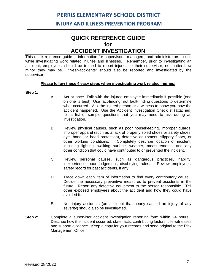**INJURY AND ILLNESS PREVENTION PROGRAM**

## **QUICK REFERENCE GUIDE for ACCIDENT INVESTIGATION**

This quick reference guide is information for supervisors, managers, and administrators to use while investigating work related injuries and illnesses. Remember, prior to investigating an accident, employees' should be trained to report injuries to their supervisor, no matter how minor they may be. "Near-accidents" should also be reported and investigated by the supervisor.

#### **Please follow these 4 easy steps when investigating work related injuries:**

#### **Step 1:**

- A. Act at once. Talk with the injured employee immediately if possible (one on one is best). Use fact-finding, not fault-finding questions to determine what occurred. Ask the injured person or a witness to show you how the accident happened. Use the Accident Investigation Checklist (attached) for a list of sample questions that you may need to ask during an investigation.
- B. Review physical causes, such as poor housekeeping, improper guards, improper apparel (such as a lack of properly soled shoes or safety shoes, eye, hand, or head protection), defective equipment, slippery floors, or other working conditions. Completely describe location of incident: including lighting, walking surface, weather, measurements, and any other condition that could have contributed to or prevented the incident.
- C. Review personal causes, such as dangerous practices, inability, inexperience, poor judgement, disobeying rules. Review employees' safety record for past accidents, if any.
- D. Trace down each item of information to find every contributory cause. Decide the necessary preventive measures to prevent accidents in the future. Report any defective equipment to the person responsible. Tell other exposed employees about the accident and how they could have avoided it.
- E. Non-injury accidents (an accident that nearly caused an injury of any severity) should also be investigated.
- **Step 2:** Complete a supervisor accident investigation reporting form within 24 hours. Describe how the incident occurred; state facts, contributing factors, cite witnesses and support evidence. Keep a copy for your records and send original to the Risk Management Office.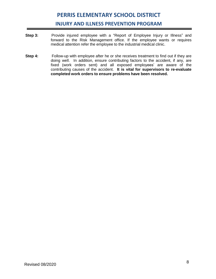- **Step 3:** Provide injured employee with a "Report of Employee Injury or Illness" and forward to the Risk Management office. If the employee wants or requires medical attention refer the employee to the industrial medical clinic.
- **Step 4:** Follow-up with employee after he or she receives treatment to find out if they are doing well. In addition, ensure contributing factors to the accident, if any, are fixed (work orders sent) and all exposed employees' are aware of the contributing causes of the accident. **It is vital for supervisors to re-evaluate completed work orders to ensure problems have been resolved.**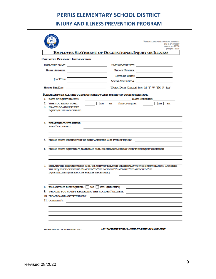**INJURY AND ILLNESS PREVENTION PROGRAM**

|                                                                                                                                                                                                                                | PERRIS ELEMENTARY SCHOOL DISTRICT<br>143 E. 1 <sup>er</sup> STREET<br><b>PERRIS, CA 92570</b><br>$(951)$ 657-3118 |
|--------------------------------------------------------------------------------------------------------------------------------------------------------------------------------------------------------------------------------|-------------------------------------------------------------------------------------------------------------------|
|                                                                                                                                                                                                                                | EMPLOYEE STATEMENT OF OCCUPATIONAL INJURY OR ILLNESS                                                              |
| <b>EMPLOYEE PERSONAL INFORMATION</b>                                                                                                                                                                                           |                                                                                                                   |
|                                                                                                                                                                                                                                | EMPLOYMENT SITE:                                                                                                  |
| HOME ADDRESS:                                                                                                                                                                                                                  | PHONE NUMBER:                                                                                                     |
|                                                                                                                                                                                                                                |                                                                                                                   |
| <b>JOB TITLE</b><br>$\overline{\phantom{a}}$                                                                                                                                                                                   | SOCIAL SECURITY #:                                                                                                |
|                                                                                                                                                                                                                                |                                                                                                                   |
| PLEASE ANSWER ALL THE QUESTIONS BELOW AND SUBMIT TO YOUR SUPERVISOR.                                                                                                                                                           |                                                                                                                   |
| 1. DATE OF INJURY/ILLNESS:                                                                                                                                                                                                     | DATE REPORTED:                                                                                                    |
| 2. TIME YOU BEGAN WORK:<br>3. EXACT LOCATION WHERE<br>INJURY/ILLNESS OCCURRED:                                                                                                                                                 | $\Box$ AM $\Box$ PM TIME OF INJURY: $\Box$ AM $\Box$ PM                                                           |
| 4. DEPARTMENT/SITE WHERE<br><b>EVENT OCCURRED:</b>                                                                                                                                                                             |                                                                                                                   |
| 5. PLEASE STATE SPECIFIC PART OF BODY AFFECTED AND TYPE OF INJURY:                                                                                                                                                             |                                                                                                                   |
|                                                                                                                                                                                                                                | 6. PLEASE STATE EQUIPMENT, MATERIALS AND/OR CHEMICALS BEING USED WHEN INJURY OCCURRED                             |
|                                                                                                                                                                                                                                | 7. EXPLAIN THE CIRCUMSTANCES AND/OR ACTIVITY RELATED SPECIFICALLY TO THE INJURY/ILLNESS. DESCRIBE                 |
| THE SEQUENCE OF EVENTS THAT LED TO THE INCIDENT THAT DIRECTLY AFFECTED THE<br>INJURY/ILLNESS (USE BACK OF FORM IF NECESSARY.)                                                                                                  |                                                                                                                   |
| 8. WAS ANYONE ELSE INJURED? NO VES: (IDENTIFY)                                                                                                                                                                                 |                                                                                                                   |
| WHO DID YOU NOTIFY REGARDING THIS ACCIDENT/ILLNESS:                                                                                                                                                                            |                                                                                                                   |
| 10. PLEASE NAME ANY WITNESSES:                                                                                                                                                                                                 |                                                                                                                   |
| 11. COMMENTS: The COMMENT OF THE PARTIES OF THE PARTIES OF THE PARTIES OF THE PARTIES OF THE PARTIES OF THE PARTIES OF THE PARTIES OF THE PARTIES OF THE PARTIES OF THE PARTIES OF THE PARTIES OF THE PARTIES OF THE PARTIES O |                                                                                                                   |
|                                                                                                                                                                                                                                |                                                                                                                   |
|                                                                                                                                                                                                                                |                                                                                                                   |
|                                                                                                                                                                                                                                |                                                                                                                   |
|                                                                                                                                                                                                                                |                                                                                                                   |

PERRIS ESD- WC EE STATEMENT 2015

ALL INCIDENT FORMS – SEND TO RISK MANAGEMENT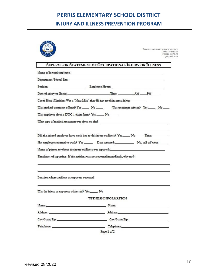| <b>ELEVISOR</b> |
|-----------------|
|                 |
|                 |
|                 |
|                 |

PERRIS ELEMENTARY SCHOOL DISTRICT  $\begin{array}{r} 143 \text{ E}, 1^{\text{m}} \text{ structure} \\ \text{PEREER} \text{ , CA P2570} \\ \text{PERRS}, \text{ CA P2570} \\ \text{(PS1) 657-3118} \end{array}$ 

#### SUPERVISOR STATEMENT OF OCCUPATIONAL INJURY OR ILLNESS

|                                                                                                                                                                                                                                                                                                                                                                                                                                                                                                                        | Department/School Site: New York School Site: New York School Site: New York School Site: New York School Site: |                            |  |
|------------------------------------------------------------------------------------------------------------------------------------------------------------------------------------------------------------------------------------------------------------------------------------------------------------------------------------------------------------------------------------------------------------------------------------------------------------------------------------------------------------------------|-----------------------------------------------------------------------------------------------------------------|----------------------------|--|
|                                                                                                                                                                                                                                                                                                                                                                                                                                                                                                                        |                                                                                                                 |                            |  |
| Date of injury or illness: Time: AM PM                                                                                                                                                                                                                                                                                                                                                                                                                                                                                 |                                                                                                                 |                            |  |
| Check Here if Incident Was a "Near Miss" that did not result in actual injury ________________________________                                                                                                                                                                                                                                                                                                                                                                                                         |                                                                                                                 |                            |  |
| Was medical treatment offered? Yes ______ No __________ Was treatment refused? Yes ______ No ____                                                                                                                                                                                                                                                                                                                                                                                                                      |                                                                                                                 |                            |  |
| Was employee given a DWC-1 claim form? Yes ______ No ______                                                                                                                                                                                                                                                                                                                                                                                                                                                            |                                                                                                                 |                            |  |
|                                                                                                                                                                                                                                                                                                                                                                                                                                                                                                                        |                                                                                                                 |                            |  |
|                                                                                                                                                                                                                                                                                                                                                                                                                                                                                                                        |                                                                                                                 |                            |  |
| Did the injured employee leave work due to this injury or illness? Yes ______ No _____ Time: _____________                                                                                                                                                                                                                                                                                                                                                                                                             |                                                                                                                 |                            |  |
| Has employee returned to work? Yes ________ Date returned: ______________ No, still off work _______                                                                                                                                                                                                                                                                                                                                                                                                                   |                                                                                                                 |                            |  |
| Name of person to whom the injury or illness was reported:                                                                                                                                                                                                                                                                                                                                                                                                                                                             |                                                                                                                 |                            |  |
|                                                                                                                                                                                                                                                                                                                                                                                                                                                                                                                        |                                                                                                                 |                            |  |
|                                                                                                                                                                                                                                                                                                                                                                                                                                                                                                                        |                                                                                                                 |                            |  |
|                                                                                                                                                                                                                                                                                                                                                                                                                                                                                                                        |                                                                                                                 |                            |  |
| Timeliness of reporting: If the accident was not reported immediately, why not?                                                                                                                                                                                                                                                                                                                                                                                                                                        |                                                                                                                 |                            |  |
|                                                                                                                                                                                                                                                                                                                                                                                                                                                                                                                        |                                                                                                                 |                            |  |
| Location where accident or exposure occurred:                                                                                                                                                                                                                                                                                                                                                                                                                                                                          |                                                                                                                 |                            |  |
|                                                                                                                                                                                                                                                                                                                                                                                                                                                                                                                        |                                                                                                                 |                            |  |
|                                                                                                                                                                                                                                                                                                                                                                                                                                                                                                                        |                                                                                                                 |                            |  |
|                                                                                                                                                                                                                                                                                                                                                                                                                                                                                                                        |                                                                                                                 | <b>WITNESS INFORMATION</b> |  |
|                                                                                                                                                                                                                                                                                                                                                                                                                                                                                                                        |                                                                                                                 |                            |  |
|                                                                                                                                                                                                                                                                                                                                                                                                                                                                                                                        |                                                                                                                 |                            |  |
|                                                                                                                                                                                                                                                                                                                                                                                                                                                                                                                        |                                                                                                                 |                            |  |
| Was the injury or exposure witnessed? Yes ______ No<br>Name: Name: Name: Name: Name: Name: Name: Name: Name: Name: Name: Name: Name: Name: Name: Name: Name: Name: Name: Name: Name: Name: Name: Name: Name: Name: Name: Name: Name: Name: Name: Name: Name: Name: Name: Name: Name:<br>Telephone: Telephone: Telephone: Telephone: Telephone: Telephone: Telephone: Telephone: Telephone: Telephone: Telephone: Telephone: Telephone: Telephone: Telephone: Telephone: Telephone: Telephone: Telephone: Telephone: Te |                                                                                                                 |                            |  |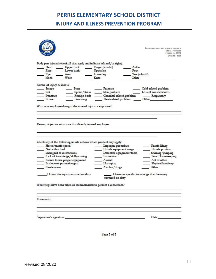|                                                         |                                                                     |                                                                          | PERRIS ELEMENTARY SCHOOL DISTRICT<br>$143$ E. $1^m$ STREET<br>PERRIS, CA 92570<br>(951) 657-3118 |
|---------------------------------------------------------|---------------------------------------------------------------------|--------------------------------------------------------------------------|--------------------------------------------------------------------------------------------------|
|                                                         |                                                                     | Body part injured (check all that apply and indicate left and/or right): |                                                                                                  |
| Head _______ Upper back                                 |                                                                     | Finger (which?)<br>Ankle                                                 |                                                                                                  |
| Face Lower back                                         |                                                                     | Foot<br>Upper leg                                                        |                                                                                                  |
| Eve                                                     | Arm                                                                 | _ Lower leg                                                              | Toe (which?)                                                                                     |
| Neck                                                    | Wrist                                                               | Knee                                                                     | Other                                                                                            |
| Nature of injury or illness:                            |                                                                     |                                                                          |                                                                                                  |
| Scrape                                                  | Buan                                                                |                                                                          |                                                                                                  |
| $\frac{\ }{2}$ Cut                                      |                                                                     | Burn Fracture<br>Sprain/strain ____ Skin problem                         | Cold-related problem<br>Loss of consciousness                                                    |
| Puncture                                                |                                                                     | Foreign body _______ Chemical-related problem                            | Respiratory                                                                                      |
| Bruise                                                  |                                                                     | Poisoning Heat-related problem Other                                     |                                                                                                  |
|                                                         |                                                                     |                                                                          |                                                                                                  |
|                                                         | Person, object or substance that directly injured employee:         |                                                                          |                                                                                                  |
| Haste/unsafe speed                                      | Check any of the following unsafe actions which you feel may apply. | Improper procedure                                                       | Unsafe lifting                                                                                   |
| Not authorized                                          |                                                                     | Unsafe equipment usage<br>Defective equipment/tools                      | Unsafe position<br>Running/jumping                                                               |
|                                                         | Lack of knowledge/skill/training                                    | Inattention                                                              | Poor Housekeeping                                                                                |
|                                                         | Failure to use proper equipment                                     | Assault                                                                  | Act of other                                                                                     |
|                                                         |                                                                     | Horseplay                                                                | Physical handicap                                                                                |
| Carelessness                                            |                                                                     | Alcohol/drugs                                                            | Other                                                                                            |
| Disregard of instructions<br>Inadequate protective gear | I know the injury occurred on duty.                                 | I have no specific knowledge that the injury<br>occurred on duty         |                                                                                                  |
|                                                         |                                                                     |                                                                          |                                                                                                  |
|                                                         |                                                                     | What steps have been taken or recommended to prevent a recurrence?       |                                                                                                  |
|                                                         |                                                                     |                                                                          |                                                                                                  |
|                                                         |                                                                     |                                                                          |                                                                                                  |
| Comments:                                               |                                                                     |                                                                          |                                                                                                  |

Page 2 of 2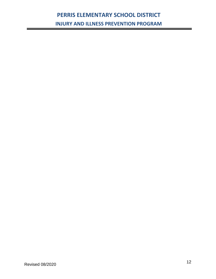**INJURY AND ILLNESS PREVENTION PROGRAM**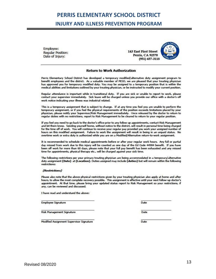Employee: **Regular Position:** Date of Injury:

**143 East First Street** Perris, CA 92570  $(951) 657 - 3118$ 



#### **Return to Work Authorization**

Perris Elementary School District has developed a temporary modified/alternative duty assignment program to benefit employees and the district. As a valuable member of PESD, we are pleased that your treating physician has approved you for temporary modified duty. You may be assigned to a temporary position that is within the medical abilities and limitations outlined by your treating physician, or be instructed to modify your current position.

Regular attendance is important while in transitional duty. If you are sick or unable to report to work, please contact your supervisor immediately. Sick leave will be charged unless you provide our office with a doctor's off work notice indicating your illness was industrial related.

This is a temporary assignment that is subject to change. If at any time you feel you are unable to perform the temporary assignment, or if you feel the physical requirements of the position exceeds limitations placed by your physician, please notify your Supervisor/Risk Management immediately. Once released by the doctor to return to regular duties with no restrictions, report to Risk Management to be cleared to return to your regular position.

If you feel you need to go back to the doctor's office prior to any follow up appointments, contact Risk Management and let them know. Sending yourself home, without notice to the district, will result in personal time being charged for the time off of work. You will continue to receive your regular pay provided you work your assigned number of hours on this modified assignment. Failure to work the assignment will result in being in an unpaid status. No overtime work or extra duty is authorized while you are on a Modified/Alternative return-to-work assignment.

It is recommended to schedule medical appointments before or after your regular work hours. Any full or partial day missed from work due to this injury will be counted as one day of the Ed Code 44984 benefit. If you have been off work for more than 60 days, please note that your full pay benefit has been exhausted and any missed time for appointments, physical therapy etc., will be charged against your sick time.

The following restrictions per your primary treating physician are being accommodated in a temporary/alternative duty assignment (Date) at (Location). Duties assigned may include (duties) but will remain within the following restrictions:

#### (Restrictions)

Please also note that the above physical restrictions given by your treating physician also apply at home and after hours, to allow the most complete recovery possible. This assignment is effective until your next follow-up doctor's appointment. At that time, please bring your updated status report to Risk Management so your restrictions, if any, can be reviewed and discussed.

I have read and understand the above:

Employee Signature

Date

Risk Management Signature

Modified Assignment Supervisor Signature

Date

Date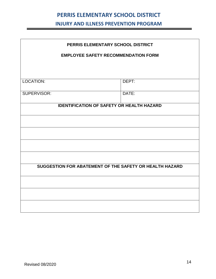**INJURY AND ILLNESS PREVENTION PROGRAM**

| PERRIS ELEMENTARY SCHOOL DISTRICT                       |       |  |
|---------------------------------------------------------|-------|--|
| <b>EMPLOYEE SAFETY RECOMMENDATION FORM</b>              |       |  |
|                                                         |       |  |
|                                                         |       |  |
| LOCATION:                                               | DEPT: |  |
| SUPERVISOR:                                             | DATE: |  |
| <b>IDENTIFICATION OF SAFETY OR HEALTH HAZARD</b>        |       |  |
|                                                         |       |  |
|                                                         |       |  |
|                                                         |       |  |
|                                                         |       |  |
|                                                         |       |  |
| SUGGESTION FOR ABATEMENT OF THE SAFETY OR HEALTH HAZARD |       |  |
|                                                         |       |  |
|                                                         |       |  |
|                                                         |       |  |
|                                                         |       |  |